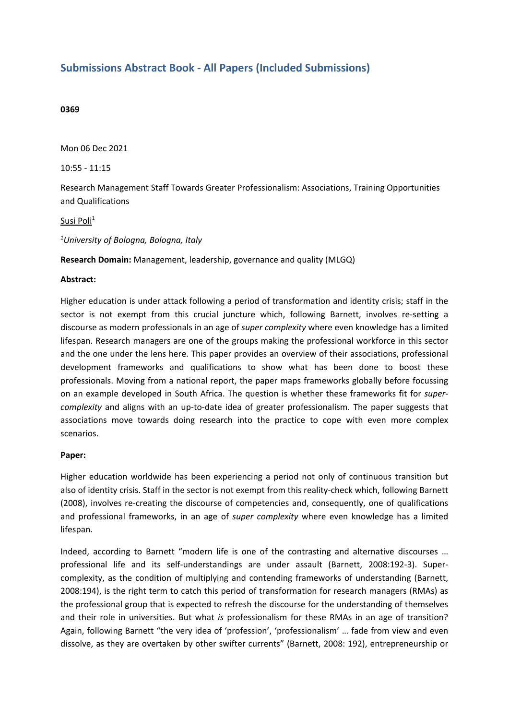## **Submissions Abstract Book - All Papers (Included Submissions)**

## **0369**

Mon 06 Dec 2021

10:55 - 11:15

Research Management Staff Towards Greater Professionalism: Associations, Training Opportunities and Qualifications

Susi Poli<sup>1</sup>

*1 University of Bologna, Bologna, Italy*

**Research Domain:** Management, leadership, governance and quality (MLGQ)

## **Abstract:**

Higher education is under attack following <sup>a</sup> period of transformation and identity crisis; staff in the sector is not exempt from this crucial juncture which, following Barnett, involves re-setting <sup>a</sup> discourse as modern professionals in an age of *super complexity* where even knowledge has <sup>a</sup> limited lifespan. Research managers are one of the groups making the professional workforce in this sector and the one under the lens here. This paper provides an overview of their associations, professional development frameworks and qualifications to show what has been done to boost these professionals. Moving from <sup>a</sup> national report, the paper maps frameworks globally before focussing on an example developed in South Africa. The question is whether these frameworks fit for *supercomplexity* and aligns with an up-to-date idea of greater professionalism. The paper suggests that associations move towards doing research into the practice to cope with even more complex scenarios.

## **Paper:**

Higher education worldwide has been experiencing <sup>a</sup> period not only of continuous transition but also of identity crisis. Staff in the sector is not exempt from this reality-check which, following Barnett (2008), involves re-creating the discourse of competencies and, consequently, one of qualifications and professional frameworks, in an age of *super complexity* where even knowledge has <sup>a</sup> limited lifespan.

Indeed, according to Barnett "modern life is one of the contrasting and alternative discourses … professional life and its self-understandings are under assault (Barnett, 2008:192-3). Supercomplexity, as the condition of multiplying and contending frameworks of understanding (Barnett, 2008:194), is the right term to catch this period of transformation for research managers (RMAs) as the professional group that is expected to refresh the discourse for the understanding of themselves and their role in universities. But what *is* professionalism for these RMAs in an age of transition? Again, following Barnett "the very idea of 'profession', 'professionalism' … fade from view and even dissolve, as they are overtaken by other swifter currents" (Barnett, 2008: 192), entrepreneurship or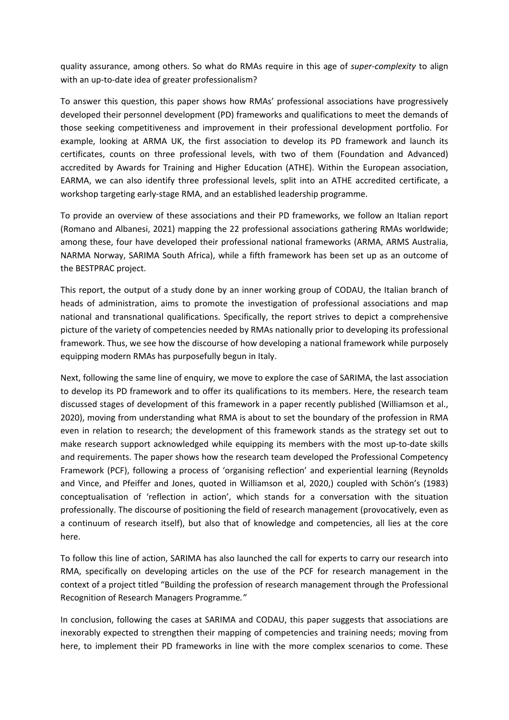quality assurance, among others. So what do RMAs require in this age of *super-complexity* to align with an up-to-date idea of greater professionalism?

To answer this question, this paper shows how RMAs' professional associations have progressively developed their personnel development (PD) frameworks and qualifications to meet the demands of those seeking competitiveness and improvement in their professional development portfolio. For example, looking at ARMA UK, the first association to develop its PD framework and launch its certificates, counts on three professional levels, with two of them (Foundation and Advanced) accredited by Awards for Training and Higher Education (ATHE). Within the European association, EARMA, we can also identify three professional levels, split into an ATHE accredited certificate, <sup>a</sup> workshop targeting early-stage RMA, and an established leadership programme.

To provide an overview of these associations and their PD frameworks, we follow an Italian report (Romano and Albanesi, 2021) mapping the 22 professional associations gathering RMAs worldwide; among these, four have developed their professional national frameworks (ARMA, ARMS Australia, NARMA Norway, SARIMA South Africa), while <sup>a</sup> fifth framework has been set up as an outcome of the BESTPRAC project.

This report, the output of <sup>a</sup> study done by an inner working group of CODAU, the Italian branch of heads of administration, aims to promote the investigation of professional associations and map national and transnational qualifications. Specifically, the report strives to depict <sup>a</sup> comprehensive picture of the variety of competencies needed by RMAs nationally prior to developing its professional framework. Thus, we see how the discourse of how developing <sup>a</sup> national framework while purposely equipping modern RMAs has purposefully begun in Italy.

Next, following the same line of enquiry, we move to explore the case of SARIMA, the last association to develop its PD framework and to offer its qualifications to its members. Here, the research team discussed stages of development of this framework in <sup>a</sup> paper recently published (Williamson et al., 2020), moving from understanding what RMA is about to set the boundary of the profession in RMA even in relation to research; the development of this framework stands as the strategy set out to make research support acknowledged while equipping its members with the most up-to-date skills and requirements. The paper shows how the research team developed the Professional Competency Framework (PCF), following <sup>a</sup> process of 'organising reflection' and experiential learning (Reynolds and Vince, and Pfeiffer and Jones, quoted in Williamson et al, 2020,) coupled with Schön's (1983) conceptualisation of 'reflection in action', which stands for <sup>a</sup> conversation with the situation professionally. The discourse of positioning the field of research management (provocatively, even as <sup>a</sup> continuum of research itself), but also that of knowledge and competencies, all lies at the core here.

To follow this line of action, SARIMA has also launched the call for experts to carry our research into RMA, specifically on developing articles on the use of the PCF for research management in the context of <sup>a</sup> project titled "Building the profession of research management through the Professional Recognition of Research Managers Programme*."* 

In conclusion, following the cases at SARIMA and CODAU, this paper suggests that associations are inexorably expected to strengthen their mapping of competencies and training needs; moving from here, to implement their PD frameworks in line with the more complex scenarios to come. These